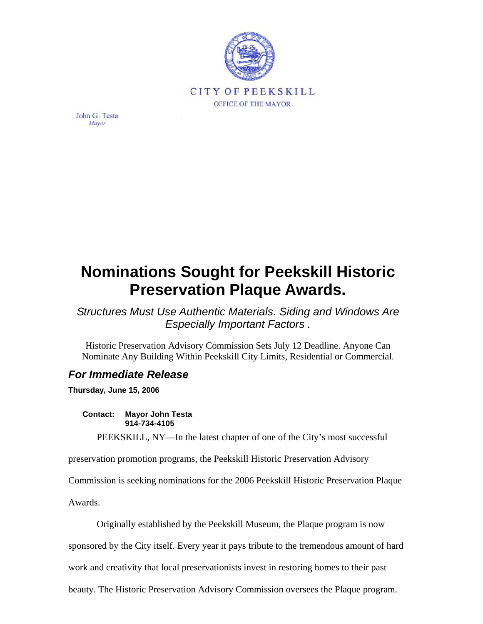

John G. Testa Mayor

## **Nominations Sought for Peekskill Historic Preservation Plaque Awards.**

*Structures Must Use Authentic Materials. Siding and Windows Are Especially Important Factors .* 

Historic Preservation Advisory Commission Sets July 12 Deadline. Anyone Can Nominate Any Building Within Peekskill City Limits, Residential or Commercial.

## *For Immediate Release*

**Thursday, June 15, 2006** 

**Contact: Mayor John Testa 914-734-4105** 

PEEKSKILL, NY—In the latest chapter of one of the City's most successful

preservation promotion programs, the Peekskill Historic Preservation Advisory

Commission is seeking nominations for the 2006 Peekskill Historic Preservation Plaque

Awards.

Originally established by the Peekskill Museum, the Plaque program is now

sponsored by the City itself. Every year it pays tribute to the tremendous amount of hard

work and creativity that local preservationists invest in restoring homes to their past

beauty. The Historic Preservation Advisory Commission oversees the Plaque program.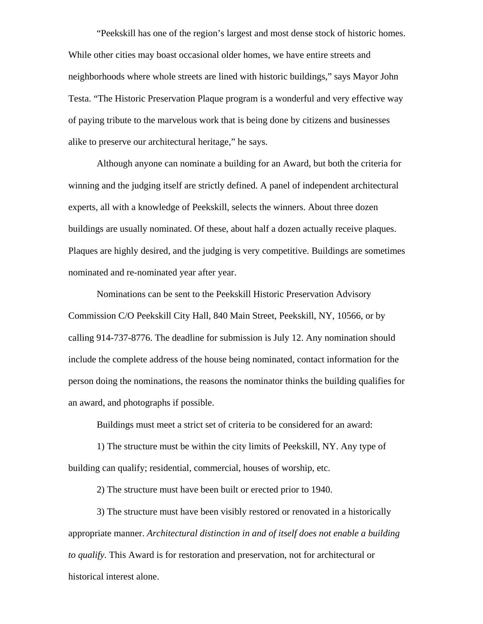"Peekskill has one of the region's largest and most dense stock of historic homes. While other cities may boast occasional older homes, we have entire streets and neighborhoods where whole streets are lined with historic buildings," says Mayor John Testa. "The Historic Preservation Plaque program is a wonderful and very effective way of paying tribute to the marvelous work that is being done by citizens and businesses alike to preserve our architectural heritage," he says.

Although anyone can nominate a building for an Award, but both the criteria for winning and the judging itself are strictly defined. A panel of independent architectural experts, all with a knowledge of Peekskill, selects the winners. About three dozen buildings are usually nominated. Of these, about half a dozen actually receive plaques. Plaques are highly desired, and the judging is very competitive. Buildings are sometimes nominated and re-nominated year after year.

Nominations can be sent to the Peekskill Historic Preservation Advisory Commission C/O Peekskill City Hall, 840 Main Street, Peekskill, NY, 10566, or by calling 914-737-8776. The deadline for submission is July 12. Any nomination should include the complete address of the house being nominated, contact information for the person doing the nominations, the reasons the nominator thinks the building qualifies for an award, and photographs if possible.

Buildings must meet a strict set of criteria to be considered for an award:

1) The structure must be within the city limits of Peekskill, NY. Any type of building can qualify; residential, commercial, houses of worship, etc.

2) The structure must have been built or erected prior to 1940.

3) The structure must have been visibly restored or renovated in a historically appropriate manner. *Architectural distinction in and of itself does not enable a building to qualify.* This Award is for restoration and preservation, not for architectural or historical interest alone.